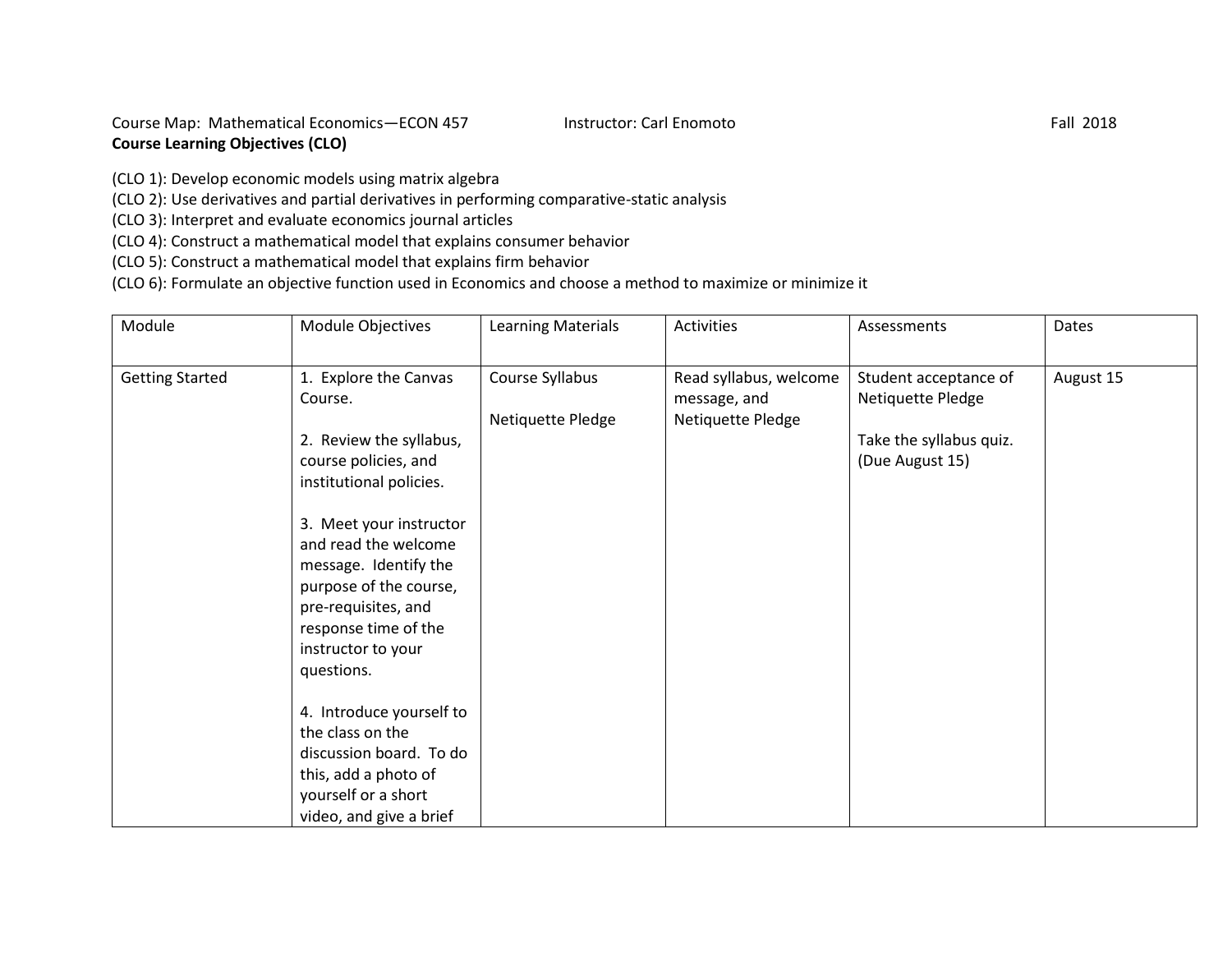Course Map: Mathematical Economics-ECON 457 Instructor: Carl Enomoto Fall 2018 **Course Learning Objectives (CLO)**

(CLO 1): Develop economic models using matrix algebra

(CLO 2): Use derivatives and partial derivatives in performing comparative-static analysis

(CLO 3): Interpret and evaluate economics journal articles

(CLO 4): Construct a mathematical model that explains consumer behavior

(CLO 5): Construct a mathematical model that explains firm behavior

(CLO 6): Formulate an objective function used in Economics and choose a method to maximize or minimize it

| Module                 | Module Objectives                                                                                                                                                                                                                                                                                                                                                                                                                 | Learning Materials                   | Activities                                                  | Assessments                                                                              | Dates     |
|------------------------|-----------------------------------------------------------------------------------------------------------------------------------------------------------------------------------------------------------------------------------------------------------------------------------------------------------------------------------------------------------------------------------------------------------------------------------|--------------------------------------|-------------------------------------------------------------|------------------------------------------------------------------------------------------|-----------|
| <b>Getting Started</b> | 1. Explore the Canvas<br>Course.<br>2. Review the syllabus,<br>course policies, and<br>institutional policies.<br>3. Meet your instructor<br>and read the welcome<br>message. Identify the<br>purpose of the course,<br>pre-requisites, and<br>response time of the<br>instructor to your<br>questions.<br>4. Introduce yourself to<br>the class on the<br>discussion board. To do<br>this, add a photo of<br>yourself or a short | Course Syllabus<br>Netiquette Pledge | Read syllabus, welcome<br>message, and<br>Netiquette Pledge | Student acceptance of<br>Netiquette Pledge<br>Take the syllabus quiz.<br>(Due August 15) | August 15 |
|                        | video, and give a brief                                                                                                                                                                                                                                                                                                                                                                                                           |                                      |                                                             |                                                                                          |           |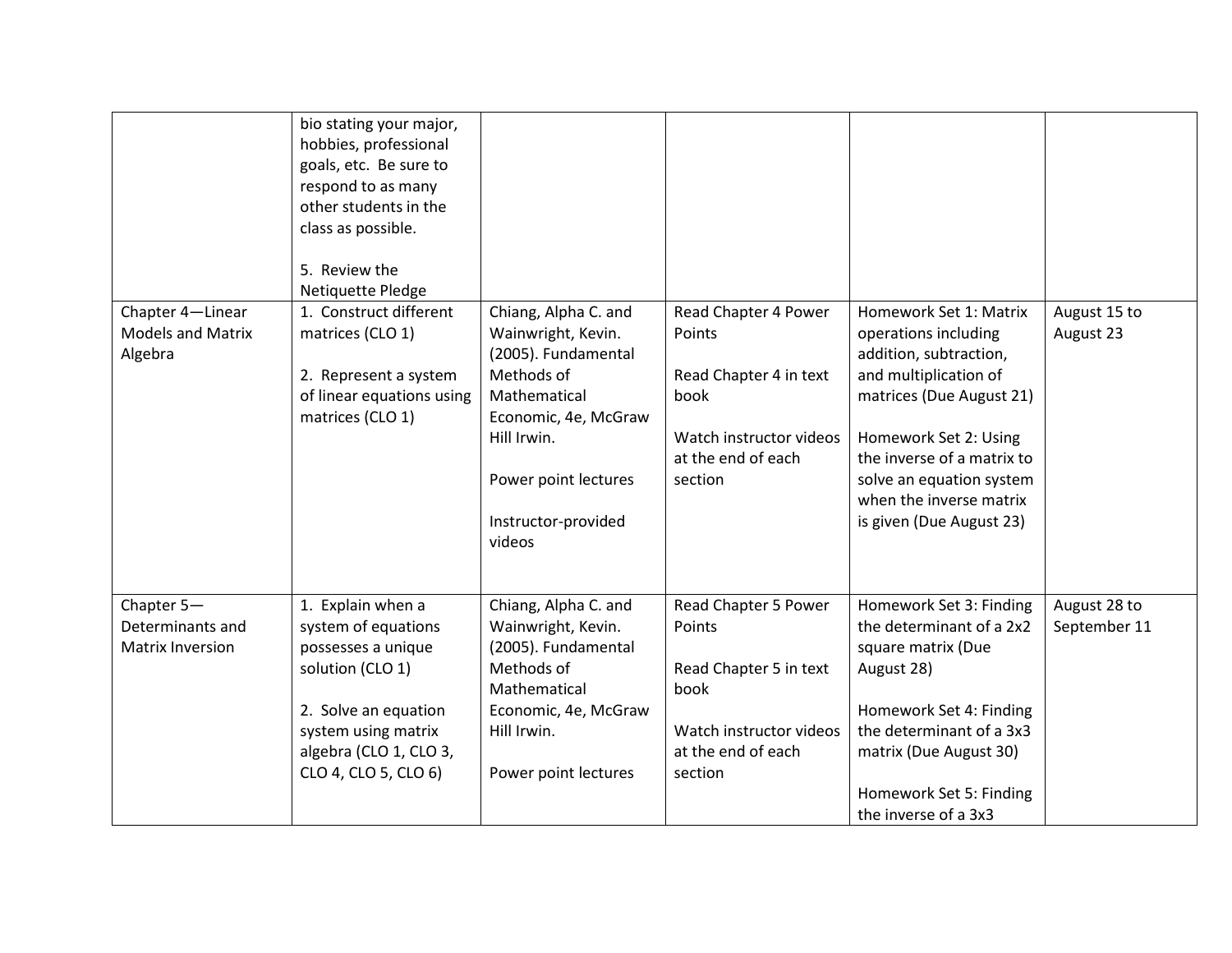| Chapter 4-Linear<br><b>Models and Matrix</b><br>Algebra | bio stating your major,<br>hobbies, professional<br>goals, etc. Be sure to<br>respond to as many<br>other students in the<br>class as possible.<br>5. Review the<br>Netiquette Pledge<br>1. Construct different<br>matrices (CLO 1)<br>2. Represent a system<br>of linear equations using<br>matrices (CLO 1) | Chiang, Alpha C. and<br>Wainwright, Kevin.<br>(2005). Fundamental<br>Methods of<br>Mathematical<br>Economic, 4e, McGraw<br>Hill Irwin.<br>Power point lectures<br>Instructor-provided<br>videos | Read Chapter 4 Power<br>Points<br>Read Chapter 4 in text<br>book<br>Watch instructor videos<br>at the end of each<br>section | Homework Set 1: Matrix<br>operations including<br>addition, subtraction,<br>and multiplication of<br>matrices (Due August 21)<br>Homework Set 2: Using<br>the inverse of a matrix to<br>solve an equation system<br>when the inverse matrix<br>is given (Due August 23) | August 15 to<br>August 23    |
|---------------------------------------------------------|---------------------------------------------------------------------------------------------------------------------------------------------------------------------------------------------------------------------------------------------------------------------------------------------------------------|-------------------------------------------------------------------------------------------------------------------------------------------------------------------------------------------------|------------------------------------------------------------------------------------------------------------------------------|-------------------------------------------------------------------------------------------------------------------------------------------------------------------------------------------------------------------------------------------------------------------------|------------------------------|
|                                                         |                                                                                                                                                                                                                                                                                                               |                                                                                                                                                                                                 |                                                                                                                              |                                                                                                                                                                                                                                                                         |                              |
| Chapter 5-<br>Determinants and<br>Matrix Inversion      | 1. Explain when a<br>system of equations<br>possesses a unique<br>solution (CLO 1)<br>2. Solve an equation<br>system using matrix<br>algebra (CLO 1, CLO 3,<br>CLO 4, CLO 5, CLO 6)                                                                                                                           | Chiang, Alpha C. and<br>Wainwright, Kevin.<br>(2005). Fundamental<br>Methods of<br>Mathematical<br>Economic, 4e, McGraw<br>Hill Irwin.<br>Power point lectures                                  | Read Chapter 5 Power<br>Points<br>Read Chapter 5 in text<br>book<br>Watch instructor videos<br>at the end of each<br>section | Homework Set 3: Finding<br>the determinant of a 2x2<br>square matrix (Due<br>August 28)<br>Homework Set 4: Finding<br>the determinant of a 3x3<br>matrix (Due August 30)<br>Homework Set 5: Finding                                                                     | August 28 to<br>September 11 |
|                                                         |                                                                                                                                                                                                                                                                                                               |                                                                                                                                                                                                 |                                                                                                                              | the inverse of a 3x3                                                                                                                                                                                                                                                    |                              |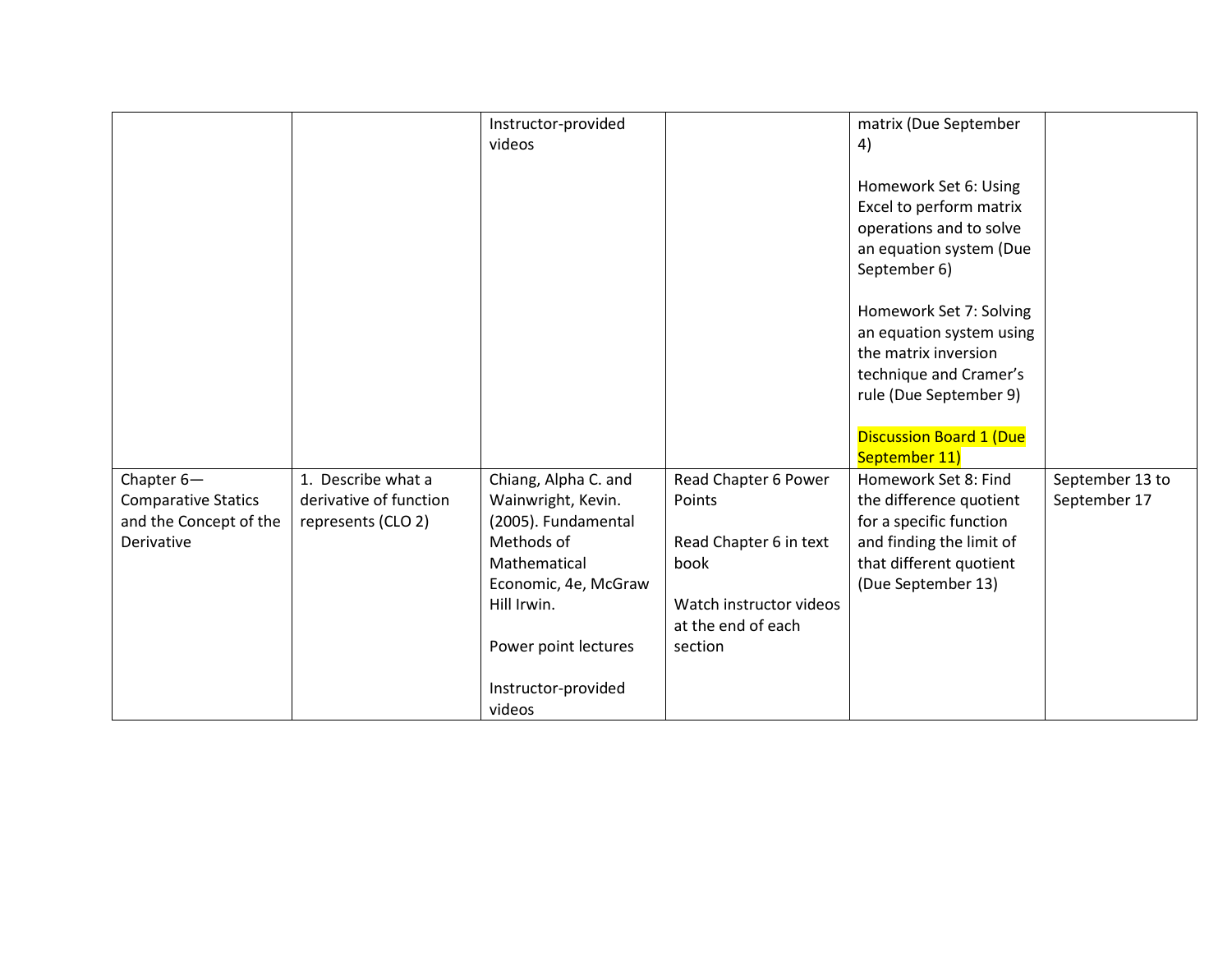|                            |                        | Instructor-provided  |                         | matrix (Due September                            |                 |
|----------------------------|------------------------|----------------------|-------------------------|--------------------------------------------------|-----------------|
|                            |                        | videos               |                         | 4)                                               |                 |
|                            |                        |                      |                         |                                                  |                 |
|                            |                        |                      |                         | Homework Set 6: Using                            |                 |
|                            |                        |                      |                         | Excel to perform matrix                          |                 |
|                            |                        |                      |                         | operations and to solve                          |                 |
|                            |                        |                      |                         | an equation system (Due                          |                 |
|                            |                        |                      |                         | September 6)                                     |                 |
|                            |                        |                      |                         |                                                  |                 |
|                            |                        |                      |                         | Homework Set 7: Solving                          |                 |
|                            |                        |                      |                         | an equation system using<br>the matrix inversion |                 |
|                            |                        |                      |                         | technique and Cramer's                           |                 |
|                            |                        |                      |                         | rule (Due September 9)                           |                 |
|                            |                        |                      |                         |                                                  |                 |
|                            |                        |                      |                         | <b>Discussion Board 1 (Due</b>                   |                 |
|                            |                        |                      |                         | September 11)                                    |                 |
| Chapter 6-                 | 1. Describe what a     | Chiang, Alpha C. and | Read Chapter 6 Power    | Homework Set 8: Find                             | September 13 to |
| <b>Comparative Statics</b> | derivative of function | Wainwright, Kevin.   | Points                  | the difference quotient                          | September 17    |
| and the Concept of the     | represents (CLO 2)     | (2005). Fundamental  |                         | for a specific function                          |                 |
| Derivative                 |                        | Methods of           | Read Chapter 6 in text  | and finding the limit of                         |                 |
|                            |                        | Mathematical         | book                    | that different quotient                          |                 |
|                            |                        | Economic, 4e, McGraw |                         | (Due September 13)                               |                 |
|                            |                        | Hill Irwin.          | Watch instructor videos |                                                  |                 |
|                            |                        |                      | at the end of each      |                                                  |                 |
|                            |                        | Power point lectures | section                 |                                                  |                 |
|                            |                        |                      |                         |                                                  |                 |
|                            |                        | Instructor-provided  |                         |                                                  |                 |
|                            |                        | videos               |                         |                                                  |                 |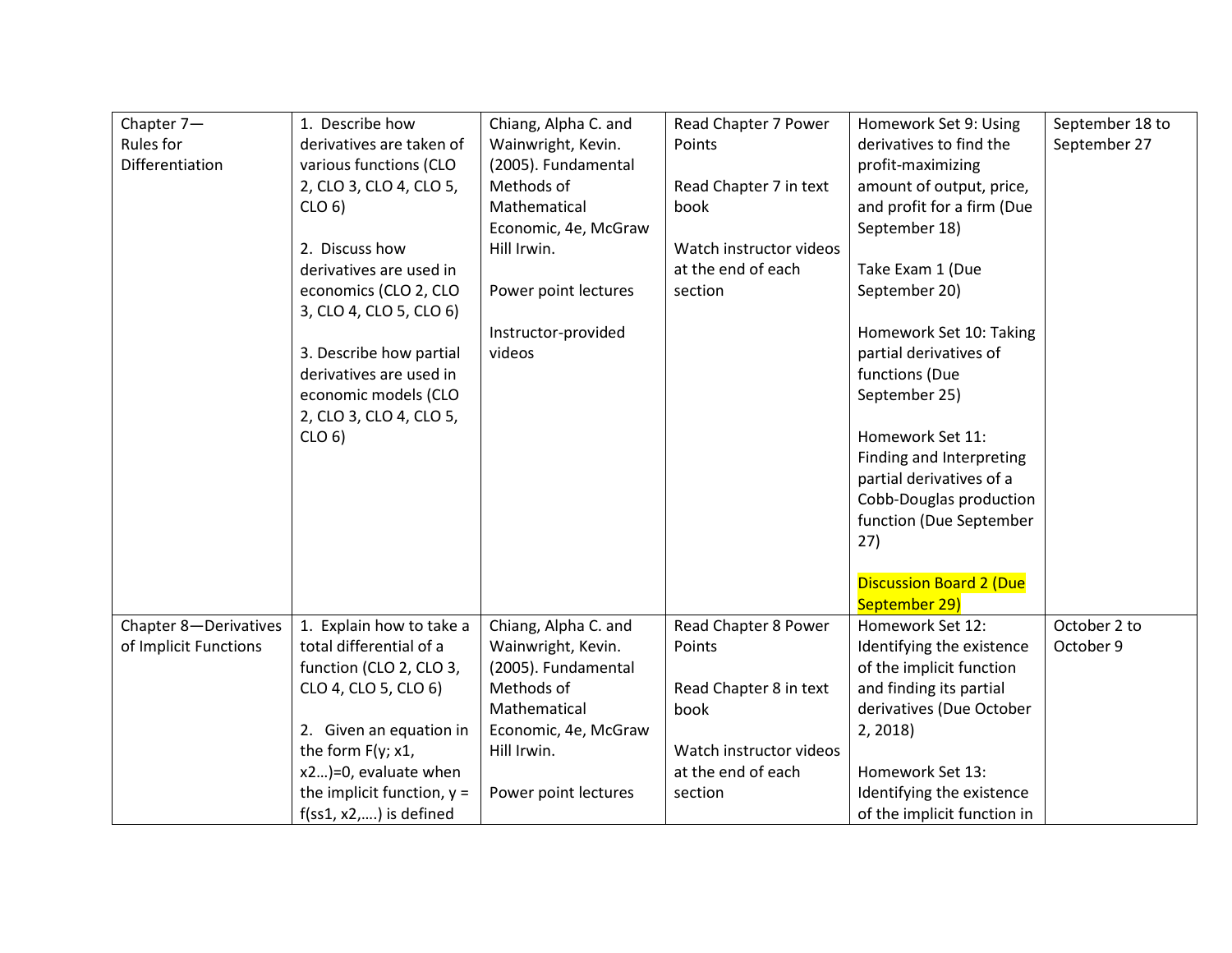| Chapter 7-            | 1. Describe how              | Chiang, Alpha C. and | Read Chapter 7 Power    | Homework Set 9: Using          | September 18 to |
|-----------------------|------------------------------|----------------------|-------------------------|--------------------------------|-----------------|
| Rules for             | derivatives are taken of     | Wainwright, Kevin.   | Points                  | derivatives to find the        | September 27    |
| Differentiation       | various functions (CLO       | (2005). Fundamental  |                         | profit-maximizing              |                 |
|                       | 2, CLO 3, CLO 4, CLO 5,      | Methods of           | Read Chapter 7 in text  | amount of output, price,       |                 |
|                       | CLO <sub>6</sub>             | Mathematical         | book                    | and profit for a firm (Due     |                 |
|                       |                              | Economic, 4e, McGraw |                         | September 18)                  |                 |
|                       | 2. Discuss how               | Hill Irwin.          | Watch instructor videos |                                |                 |
|                       | derivatives are used in      |                      | at the end of each      | Take Exam 1 (Due               |                 |
|                       | economics (CLO 2, CLO        | Power point lectures | section                 | September 20)                  |                 |
|                       | 3, CLO 4, CLO 5, CLO 6)      |                      |                         |                                |                 |
|                       |                              | Instructor-provided  |                         | Homework Set 10: Taking        |                 |
|                       | 3. Describe how partial      | videos               |                         | partial derivatives of         |                 |
|                       | derivatives are used in      |                      |                         | functions (Due                 |                 |
|                       | economic models (CLO         |                      |                         | September 25)                  |                 |
|                       | 2, CLO 3, CLO 4, CLO 5,      |                      |                         |                                |                 |
|                       | CLO <sub>6</sub>             |                      |                         | Homework Set 11:               |                 |
|                       |                              |                      |                         | Finding and Interpreting       |                 |
|                       |                              |                      |                         | partial derivatives of a       |                 |
|                       |                              |                      |                         | Cobb-Douglas production        |                 |
|                       |                              |                      |                         | function (Due September        |                 |
|                       |                              |                      |                         | 27)                            |                 |
|                       |                              |                      |                         |                                |                 |
|                       |                              |                      |                         | <b>Discussion Board 2 (Due</b> |                 |
|                       |                              |                      |                         | September 29)                  |                 |
| Chapter 8-Derivatives | 1. Explain how to take a     | Chiang, Alpha C. and | Read Chapter 8 Power    | Homework Set 12:               | October 2 to    |
| of Implicit Functions | total differential of a      | Wainwright, Kevin.   | Points                  | Identifying the existence      | October 9       |
|                       | function (CLO 2, CLO 3,      | (2005). Fundamental  |                         | of the implicit function       |                 |
|                       | CLO 4, CLO 5, CLO 6)         | Methods of           | Read Chapter 8 in text  | and finding its partial        |                 |
|                       |                              | Mathematical         | book                    | derivatives (Due October       |                 |
|                       | 2. Given an equation in      | Economic, 4e, McGraw |                         | 2, 2018                        |                 |
|                       | the form F(y; x1,            | Hill Irwin.          | Watch instructor videos |                                |                 |
|                       | x2)=0, evaluate when         |                      | at the end of each      | Homework Set 13:               |                 |
|                       | the implicit function, $y =$ | Power point lectures | section                 | Identifying the existence      |                 |
|                       | $f(ss1, x2,)$ is defined     |                      |                         | of the implicit function in    |                 |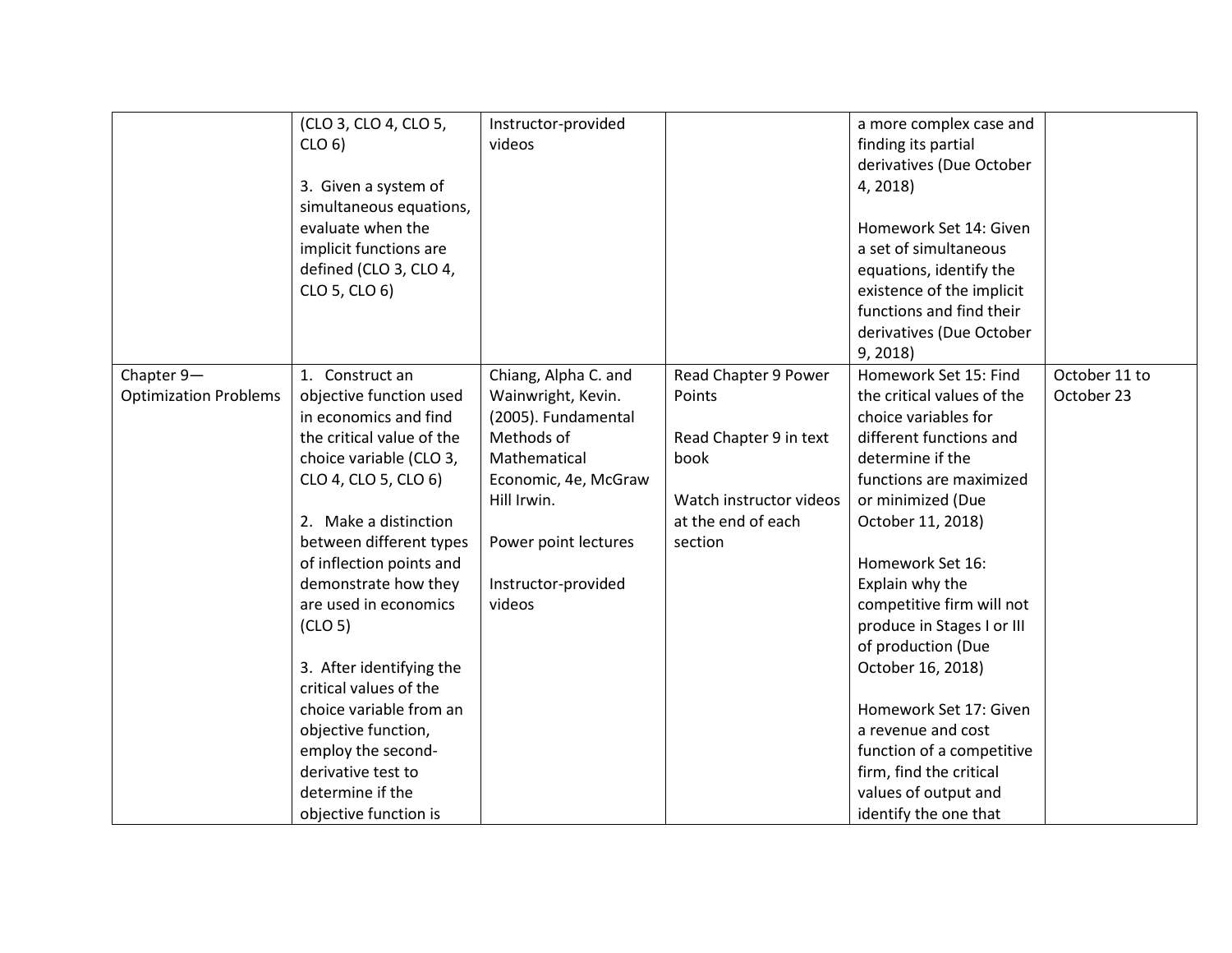|                              | (CLO 3, CLO 4, CLO 5,     | Instructor-provided  |                         | a more complex case and    |               |
|------------------------------|---------------------------|----------------------|-------------------------|----------------------------|---------------|
|                              | CLO <sub>6</sub>          | videos               |                         | finding its partial        |               |
|                              |                           |                      |                         | derivatives (Due October   |               |
|                              | 3. Given a system of      |                      |                         | 4, 2018)                   |               |
|                              | simultaneous equations,   |                      |                         |                            |               |
|                              | evaluate when the         |                      |                         | Homework Set 14: Given     |               |
|                              | implicit functions are    |                      |                         | a set of simultaneous      |               |
|                              | defined (CLO 3, CLO 4,    |                      |                         | equations, identify the    |               |
|                              | CLO 5, CLO 6)             |                      |                         | existence of the implicit  |               |
|                              |                           |                      |                         | functions and find their   |               |
|                              |                           |                      |                         | derivatives (Due October   |               |
|                              |                           |                      |                         | 9, 2018                    |               |
| Chapter 9-                   | 1. Construct an           | Chiang, Alpha C. and | Read Chapter 9 Power    | Homework Set 15: Find      | October 11 to |
| <b>Optimization Problems</b> | objective function used   | Wainwright, Kevin.   | Points                  | the critical values of the | October 23    |
|                              | in economics and find     | (2005). Fundamental  |                         | choice variables for       |               |
|                              | the critical value of the | Methods of           | Read Chapter 9 in text  | different functions and    |               |
|                              | choice variable (CLO 3,   | Mathematical         | book                    | determine if the           |               |
|                              | CLO 4, CLO 5, CLO 6)      | Economic, 4e, McGraw |                         | functions are maximized    |               |
|                              |                           | Hill Irwin.          | Watch instructor videos | or minimized (Due          |               |
|                              | 2. Make a distinction     |                      | at the end of each      | October 11, 2018)          |               |
|                              | between different types   | Power point lectures | section                 |                            |               |
|                              | of inflection points and  |                      |                         | Homework Set 16:           |               |
|                              | demonstrate how they      | Instructor-provided  |                         | Explain why the            |               |
|                              | are used in economics     | videos               |                         | competitive firm will not  |               |
|                              | (CLO <sub>5</sub> )       |                      |                         | produce in Stages I or III |               |
|                              |                           |                      |                         | of production (Due         |               |
|                              | 3. After identifying the  |                      |                         | October 16, 2018)          |               |
|                              | critical values of the    |                      |                         |                            |               |
|                              | choice variable from an   |                      |                         | Homework Set 17: Given     |               |
|                              | objective function,       |                      |                         | a revenue and cost         |               |
|                              | employ the second-        |                      |                         | function of a competitive  |               |
|                              | derivative test to        |                      |                         | firm, find the critical    |               |
|                              | determine if the          |                      |                         | values of output and       |               |
|                              | objective function is     |                      |                         | identify the one that      |               |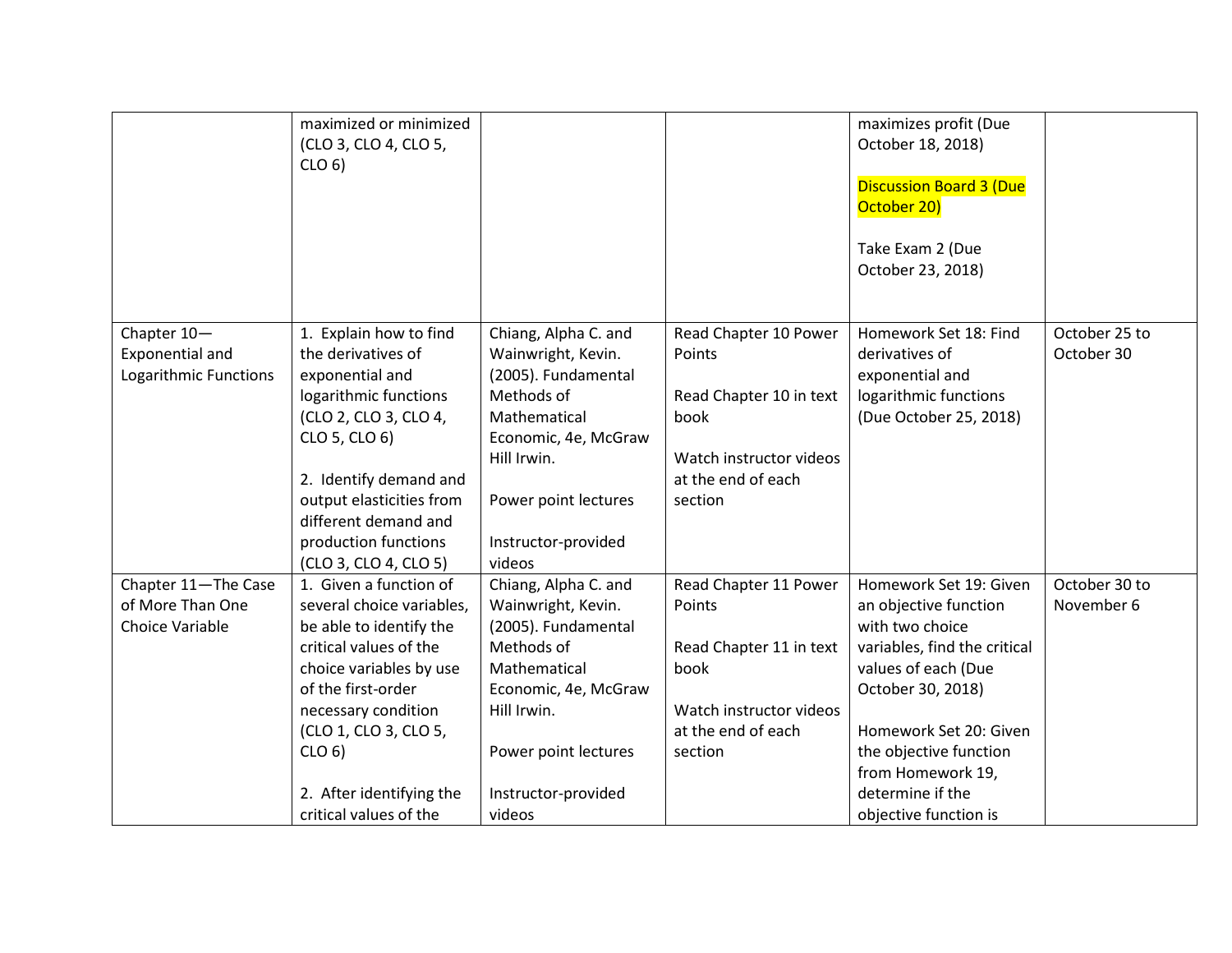|                                                                | maximized or minimized<br>(CLO 3, CLO 4, CLO 5,                                          |                                                                                 |                                                            | maximizes profit (Due<br>October 18, 2018)                                          |                             |
|----------------------------------------------------------------|------------------------------------------------------------------------------------------|---------------------------------------------------------------------------------|------------------------------------------------------------|-------------------------------------------------------------------------------------|-----------------------------|
|                                                                | CLO <sub>6</sub>                                                                         |                                                                                 |                                                            | <b>Discussion Board 3 (Due</b><br>October 20)                                       |                             |
|                                                                |                                                                                          |                                                                                 |                                                            | Take Exam 2 (Due<br>October 23, 2018)                                               |                             |
| Chapter 10-<br><b>Exponential and</b><br>Logarithmic Functions | 1. Explain how to find<br>the derivatives of<br>exponential and<br>logarithmic functions | Chiang, Alpha C. and<br>Wainwright, Kevin.<br>(2005). Fundamental<br>Methods of | Read Chapter 10 Power<br>Points<br>Read Chapter 10 in text | Homework Set 18: Find<br>derivatives of<br>exponential and<br>logarithmic functions | October 25 to<br>October 30 |
|                                                                | (CLO 2, CLO 3, CLO 4,<br>CLO 5, CLO 6)                                                   | Mathematical<br>Economic, 4e, McGraw<br>Hill Irwin.                             | book<br>Watch instructor videos                            | (Due October 25, 2018)                                                              |                             |
|                                                                | 2. Identify demand and<br>output elasticities from<br>different demand and               | Power point lectures                                                            | at the end of each<br>section                              |                                                                                     |                             |
|                                                                | production functions<br>(CLO 3, CLO 4, CLO 5)                                            | Instructor-provided<br>videos                                                   |                                                            |                                                                                     |                             |
| Chapter 11-The Case<br>of More Than One<br>Choice Variable     | 1. Given a function of<br>several choice variables,<br>be able to identify the           | Chiang, Alpha C. and<br>Wainwright, Kevin.<br>(2005). Fundamental               | Read Chapter 11 Power<br>Points                            | Homework Set 19: Given<br>an objective function<br>with two choice                  | October 30 to<br>November 6 |
|                                                                | critical values of the<br>choice variables by use<br>of the first-order                  | Methods of<br>Mathematical<br>Economic, 4e, McGraw                              | Read Chapter 11 in text<br>book                            | variables, find the critical<br>values of each (Due<br>October 30, 2018)            |                             |
|                                                                | necessary condition<br>(CLO 1, CLO 3, CLO 5,                                             | Hill Irwin.                                                                     | Watch instructor videos<br>at the end of each              | Homework Set 20: Given                                                              |                             |
|                                                                | CLO <sub>6</sub>                                                                         | Power point lectures                                                            | section                                                    | the objective function<br>from Homework 19,                                         |                             |
|                                                                | 2. After identifying the<br>critical values of the                                       | Instructor-provided<br>videos                                                   |                                                            | determine if the<br>objective function is                                           |                             |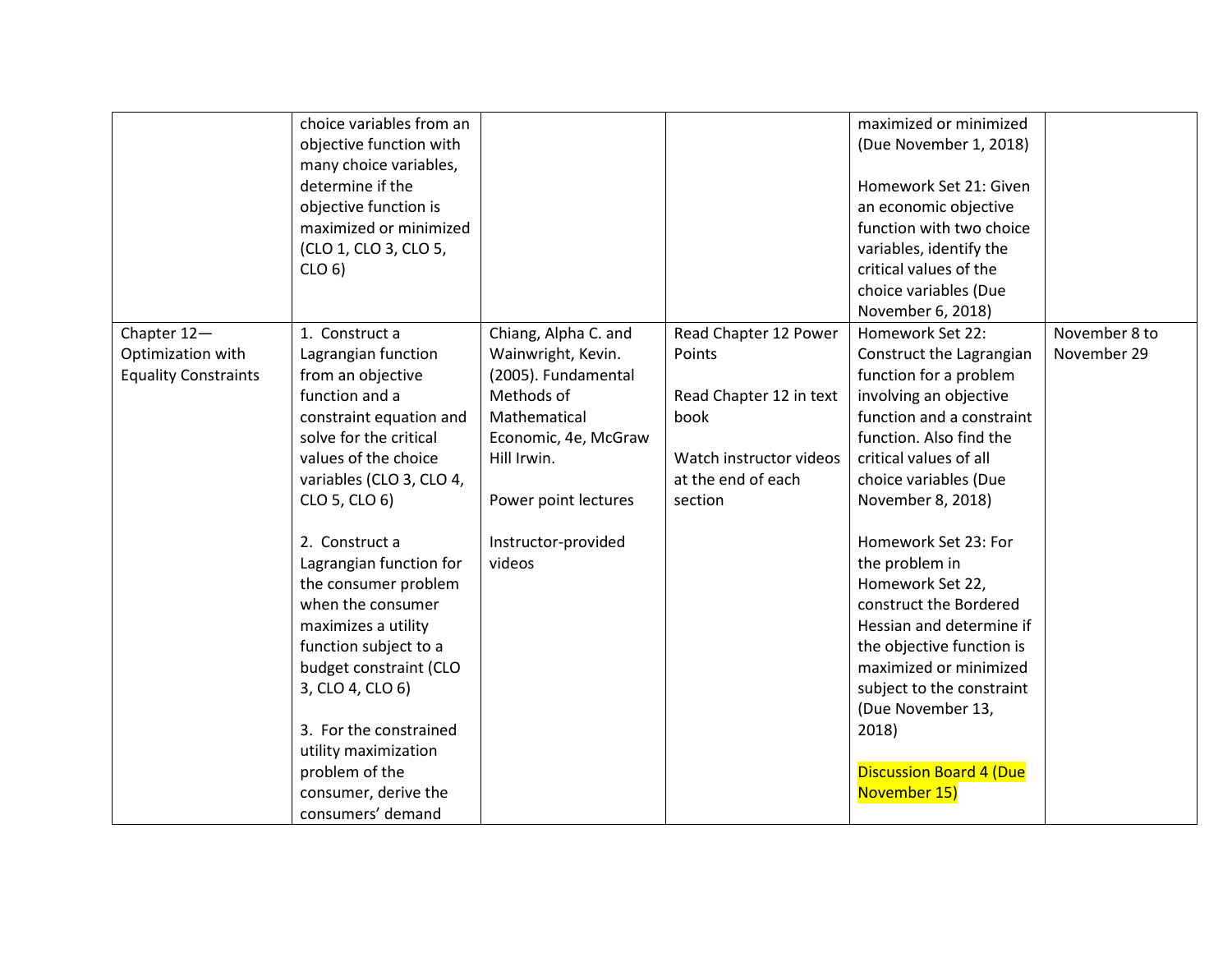|                                  | choice variables from an<br>objective function with<br>many choice variables,<br>determine if the<br>objective function is<br>maximized or minimized<br>(CLO 1, CLO 3, CLO 5,<br>CLO <sub>6</sub>                                                        |                                            |                                 | maximized or minimized<br>(Due November 1, 2018)<br>Homework Set 21: Given<br>an economic objective<br>function with two choice<br>variables, identify the<br>critical values of the<br>choice variables (Due<br>November 6, 2018)                                   |                              |
|----------------------------------|----------------------------------------------------------------------------------------------------------------------------------------------------------------------------------------------------------------------------------------------------------|--------------------------------------------|---------------------------------|----------------------------------------------------------------------------------------------------------------------------------------------------------------------------------------------------------------------------------------------------------------------|------------------------------|
| Chapter 12-<br>Optimization with | 1. Construct a<br>Lagrangian function                                                                                                                                                                                                                    | Chiang, Alpha C. and<br>Wainwright, Kevin. | Read Chapter 12 Power<br>Points | Homework Set 22:<br>Construct the Lagrangian                                                                                                                                                                                                                         | November 8 to<br>November 29 |
| <b>Equality Constraints</b>      | from an objective                                                                                                                                                                                                                                        | (2005). Fundamental                        |                                 | function for a problem                                                                                                                                                                                                                                               |                              |
|                                  | function and a                                                                                                                                                                                                                                           | Methods of                                 | Read Chapter 12 in text         | involving an objective                                                                                                                                                                                                                                               |                              |
|                                  | constraint equation and                                                                                                                                                                                                                                  | Mathematical                               | book                            | function and a constraint                                                                                                                                                                                                                                            |                              |
|                                  | solve for the critical                                                                                                                                                                                                                                   | Economic, 4e, McGraw                       |                                 | function. Also find the                                                                                                                                                                                                                                              |                              |
|                                  | values of the choice                                                                                                                                                                                                                                     | Hill Irwin.                                | Watch instructor videos         | critical values of all                                                                                                                                                                                                                                               |                              |
|                                  | variables (CLO 3, CLO 4,                                                                                                                                                                                                                                 |                                            | at the end of each              | choice variables (Due                                                                                                                                                                                                                                                |                              |
|                                  | CLO 5, CLO 6)                                                                                                                                                                                                                                            | Power point lectures                       | section                         | November 8, 2018)                                                                                                                                                                                                                                                    |                              |
|                                  | 2. Construct a<br>Lagrangian function for<br>the consumer problem<br>when the consumer<br>maximizes a utility<br>function subject to a<br>budget constraint (CLO<br>3, CLO 4, CLO 6)<br>3. For the constrained<br>utility maximization<br>problem of the | Instructor-provided<br>videos              |                                 | Homework Set 23: For<br>the problem in<br>Homework Set 22,<br>construct the Bordered<br>Hessian and determine if<br>the objective function is<br>maximized or minimized<br>subject to the constraint<br>(Due November 13,<br>2018)<br><b>Discussion Board 4 (Due</b> |                              |
|                                  |                                                                                                                                                                                                                                                          |                                            |                                 |                                                                                                                                                                                                                                                                      |                              |
|                                  | consumer, derive the<br>consumers' demand                                                                                                                                                                                                                |                                            |                                 | November 15)                                                                                                                                                                                                                                                         |                              |